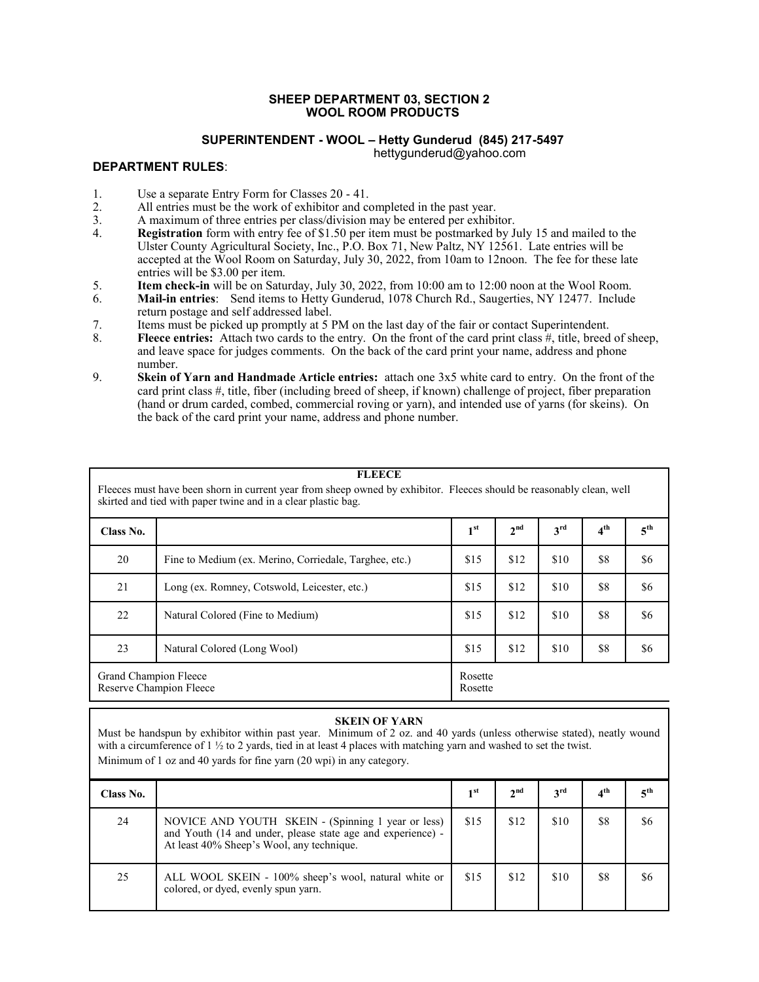#### **SHEEP DEPARTMENT 03, SECTION 2 WOOL ROOM PRODUCTS**

## **SUPERINTENDENT - WOOL – Hetty Gunderud (845) 217-5497**

hettygunderud@yahoo.com

## **DEPARTMENT RULES**:

- 1. Use a separate Entry Form for Classes 20 41.
- 2. All entries must be the work of exhibitor and completed in the past year.<br>
A maximum of three entries per class/division may be entered per exhibi
- 3. A maximum of three entries per class/division may be entered per exhibitor.<br>4. **Registration** form with entry fee of \$1.50 per item must be postmarked by J
- **Registration** form with entry fee of \$1.50 per item must be postmarked by July 15 and mailed to the Ulster County Agricultural Society, Inc., P.O. Box 71, New Paltz, NY 12561. Late entries will be accepted at the Wool Room on Saturday, July 30, 2022, from 10am to 12noon. The fee for these late entries will be \$3.00 per item.
- 5. **Item check-in** will be on Saturday, July 30, 2022, from 10:00 am to 12:00 noon at the Wool Room.<br>6. **Mail-in entries**: Send items to Hetty Gunderud, 1078 Church Rd., Saugerties, NY 12477. Include
- 6. **Mail-in entries**: Send items to Hetty Gunderud, 1078 Church Rd., Saugerties, NY 12477. Include return postage and self addressed label.
- 7. Items must be picked up promptly at 5 PM on the last day of the fair or contact Superintendent.
- 8. **Fleece entries:** Attach two cards to the entry. On the front of the card print class #, title, breed of sheep, and leave space for judges comments. On the back of the card print your name, address and phone number.
- 9. **Skein of Yarn and Handmade Article entries:** attach one 3x5 white card to entry. On the front of the card print class #, title, fiber (including breed of sheep, if known) challenge of project, fiber preparation (hand or drum carded, combed, commercial roving or yarn), and intended use of yarns (for skeins). On the back of the card print your name, address and phone number.

#### **FLEECE**

Fleeces must have been shorn in current year from sheep owned by exhibitor. Fleeces should be reasonably clean, well skirted and tied with paper twine and in a clear plastic bag.

| Class No. |                                                                        | 1 <sup>st</sup>             | 2 <sup>nd</sup> | $3^{\text{rd}}$ | 4 <sup>th</sup> | 5 <sup>th</sup> |
|-----------|------------------------------------------------------------------------|-----------------------------|-----------------|-----------------|-----------------|-----------------|
| 20        | Fine to Medium (ex. Merino, Corriedale, Targhee, etc.)                 | \$15                        | \$12            | \$10            | \$8             | \$6             |
| 21        | Long (ex. Romney, Cotswold, Leicester, etc.)                           | \$15                        | \$12            | \$10            | \$8             | \$6             |
| 22        | Natural Colored (Fine to Medium)                                       | \$15                        | \$12            | \$10            | \$8             | \$6             |
| 23        | Natural Colored (Long Wool)                                            | \$15<br>\$12<br>\$10<br>\$8 |                 | \$6             |                 |                 |
|           | Grand Champion Fleece<br>Rosette<br>Reserve Champion Fleece<br>Rosette |                             |                 |                 |                 |                 |

#### **SKEIN OF YARN**

Must be handspun by exhibitor within past year. Minimum of 2 oz. and 40 yards (unless otherwise stated), neatly wound with a circumference of 1  $\frac{1}{2}$  to 2 yards, tied in at least 4 places with matching yarn and washed to set the twist.

Minimum of 1 oz and 40 yards for fine yarn (20 wpi) in any category.

| Class No. |                                                                                                                                                                | 1 <sup>st</sup> | 2 <sup>nd</sup> | 3 <sup>rd</sup> | 4 <sup>th</sup> | 5 <sup>th</sup> |
|-----------|----------------------------------------------------------------------------------------------------------------------------------------------------------------|-----------------|-----------------|-----------------|-----------------|-----------------|
| 24        | NOVICE AND YOUTH SKEIN - (Spinning 1 year or less)<br>and Youth (14 and under, please state age and experience) -<br>At least 40% Sheep's Wool, any technique. | \$15            | \$12            | \$10            | \$8             | \$6             |
| 25        | ALL WOOL SKEIN - 100% sheep's wool, natural white or<br>colored, or dyed, evenly spun yarn.                                                                    | \$15            | \$12            | \$10            | \$8             | \$6             |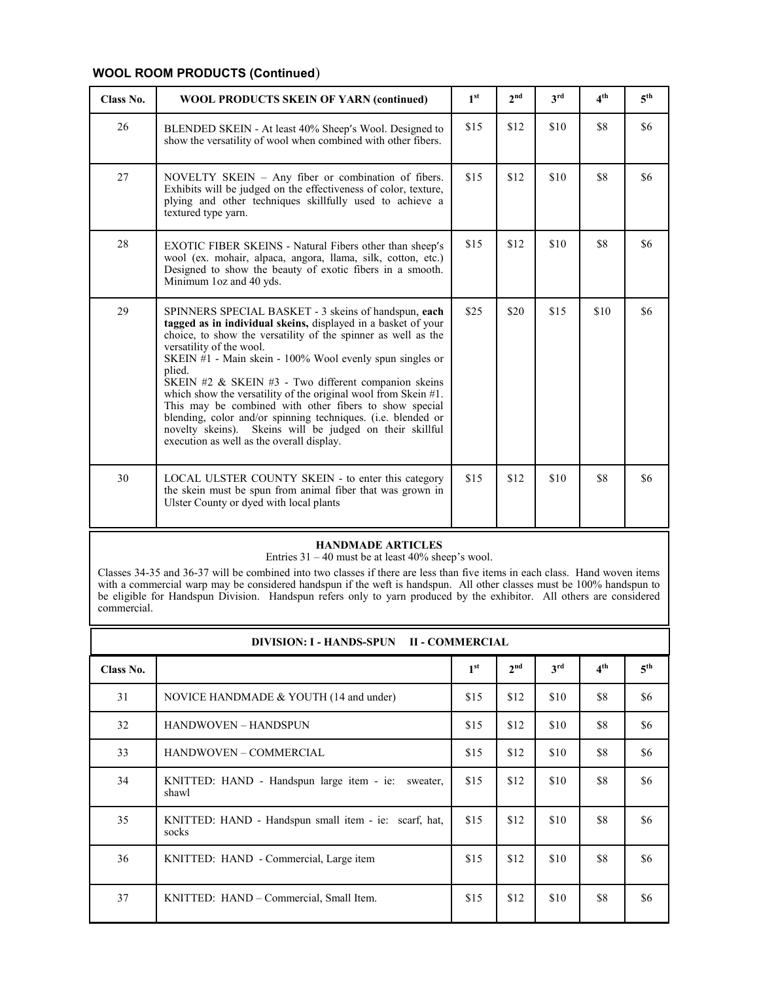## **WOOL ROOM PRODUCTS (Continued**)

| Class No. | <b>WOOL PRODUCTS SKEIN OF YARN (continued)</b>                                                                                                                                                                                                                                                                                                                                                                                                                                                                                                                                                                                                           | 1 <sup>st</sup> | 2 <sup>nd</sup> | 3rd  | 4 <sup>th</sup> | 5 <sup>th</sup> |
|-----------|----------------------------------------------------------------------------------------------------------------------------------------------------------------------------------------------------------------------------------------------------------------------------------------------------------------------------------------------------------------------------------------------------------------------------------------------------------------------------------------------------------------------------------------------------------------------------------------------------------------------------------------------------------|-----------------|-----------------|------|-----------------|-----------------|
| 26        | BLENDED SKEIN - At least 40% Sheep's Wool. Designed to<br>show the versatility of wool when combined with other fibers.                                                                                                                                                                                                                                                                                                                                                                                                                                                                                                                                  | \$15            | \$12            | \$10 | \$8             | \$6             |
| 27        | NOVELTY SKEIN – Any fiber or combination of fibers.<br>Exhibits will be judged on the effectiveness of color, texture,<br>plying and other techniques skillfully used to achieve a<br>textured type yarn.                                                                                                                                                                                                                                                                                                                                                                                                                                                | \$15            | \$12            | \$10 | \$8             | \$6             |
| 28        | <b>EXOTIC FIBER SKEINS - Natural Fibers other than sheep's</b><br>wool (ex. mohair, alpaca, angora, llama, silk, cotton, etc.)<br>Designed to show the beauty of exotic fibers in a smooth.<br>Minimum 1oz and 40 yds.                                                                                                                                                                                                                                                                                                                                                                                                                                   | \$15            | \$12            | \$10 | \$8             | \$6             |
| 29        | SPINNERS SPECIAL BASKET - 3 skeins of handspun, each<br>tagged as in individual skeins, displayed in a basket of your<br>choice, to show the versatility of the spinner as well as the<br>versatility of the wool.<br>SKEIN #1 - Main skein - 100% Wool evenly spun singles or<br>plied.<br>SKEIN #2 & SKEIN #3 - Two different companion skeins<br>which show the versatility of the original wool from Skein $#1$ .<br>This may be combined with other fibers to show special<br>blending, color and/or spinning techniques. (i.e. blended or<br>novelty skeins). Skeins will be judged on their skillful<br>execution as well as the overall display. | \$25            | \$20            | \$15 | \$10            | \$6             |
| 30        | LOCAL ULSTER COUNTY SKEIN - to enter this category<br>the skein must be spun from animal fiber that was grown in<br>Ulster County or dyed with local plants                                                                                                                                                                                                                                                                                                                                                                                                                                                                                              | \$15            | \$12            | \$10 | \$8             | \$6             |

### **HANDMADE ARTICLES**

Entries 31 – 40 must be at least 40% sheep's wool.

Classes 34-35 and 36-37 will be combined into two classes if there are less than five items in each class. Hand woven items with a commercial warp may be considered handspun if the weft is handspun. All other classes must be 100% handspun to be eligible for Handspun Division. Handspun refers only to yarn produced by the exhibitor. All others are considered commercial.

| DIVISION: I - HANDS-SPUN II - COMMERCIAL |                                                                |                 |                 |                 |                 |                 |  |
|------------------------------------------|----------------------------------------------------------------|-----------------|-----------------|-----------------|-----------------|-----------------|--|
| Class No.                                |                                                                | 1 <sup>st</sup> | 2 <sup>nd</sup> | 3 <sup>rd</sup> | $4^{\text{th}}$ | 5 <sup>th</sup> |  |
| 31                                       | NOVICE HANDMADE & YOUTH (14 and under)                         | \$15            | \$12            | \$10            | \$8             | \$6             |  |
| 32                                       | <b>HANDWOVEN - HANDSPUN</b>                                    | \$15            | \$12            | \$10            | \$8             | \$6             |  |
| 33                                       | HANDWOVEN - COMMERCIAL                                         | \$15            | \$12            | \$10            | \$8             | \$6             |  |
| 34                                       | KNITTED: HAND - Handspun large item - ie:<br>sweater,<br>shawl | \$15            | \$12            | \$10            | \$8             | \$6             |  |
| 35                                       | KNITTED: HAND - Handspun small item - ie: scarf, hat,<br>socks | \$15            | \$12            | \$10            | \$8             | \$6             |  |
| 36                                       | KNITTED: HAND - Commercial, Large item                         | \$15            | \$12            | \$10            | \$8             | \$6             |  |
| 37                                       | KNITTED: HAND – Commercial, Small Item.                        | \$15            | \$12            | \$10            | \$8             | \$6             |  |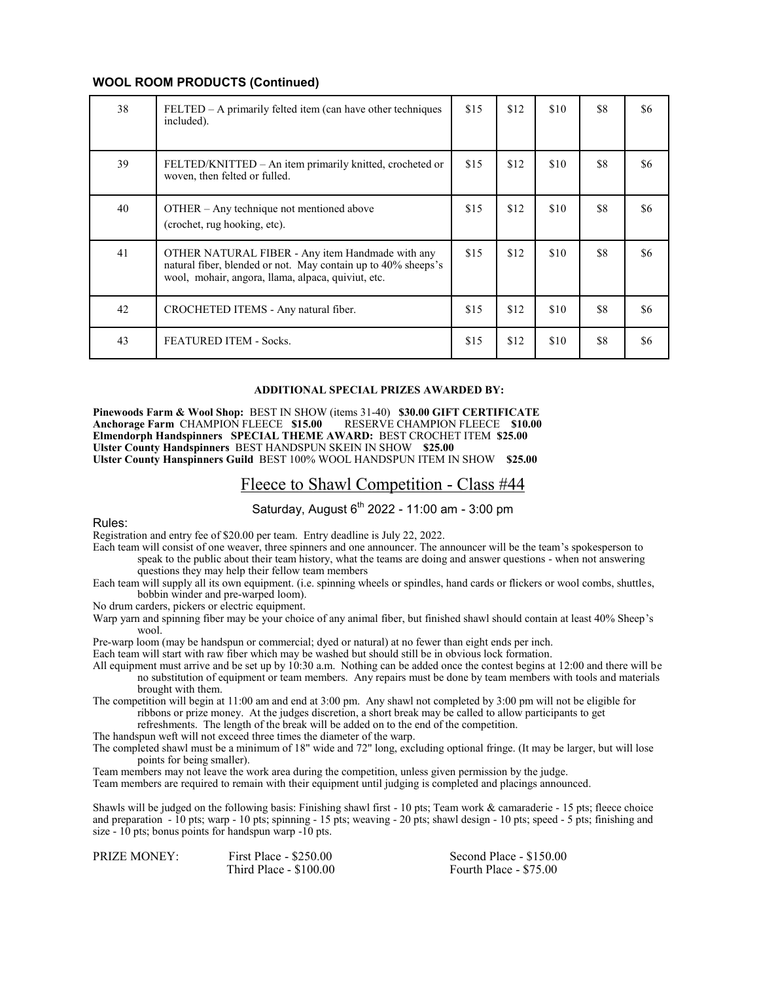### **WOOL ROOM PRODUCTS (Continued)**

| 38 | $FELTED - A primarily felted item (can have other techniques)$<br>included).                                                                                            | \$15 | \$12 | \$10 | \$8 | \$6 |
|----|-------------------------------------------------------------------------------------------------------------------------------------------------------------------------|------|------|------|-----|-----|
| 39 | FELTED/KNITTED – An item primarily knitted, crocheted or<br>woven, then felted or fulled.                                                                               | \$15 | \$12 | \$10 | \$8 | \$6 |
| 40 | OTHER – Any technique not mentioned above<br>(crochet, rug hooking, etc).                                                                                               | \$15 | \$12 | \$10 | \$8 | \$6 |
| 41 | OTHER NATURAL FIBER - Any item Handmade with any<br>natural fiber, blended or not. May contain up to 40% sheeps's<br>wool, mohair, angora, llama, alpaca, quiviut, etc. | \$15 | \$12 | \$10 | \$8 | \$6 |
| 42 | CROCHETED ITEMS - Any natural fiber.                                                                                                                                    | \$15 | \$12 | \$10 | \$8 | \$6 |
| 43 | <b>FEATURED ITEM - Socks.</b>                                                                                                                                           | \$15 | \$12 | \$10 | \$8 | \$6 |

#### **ADDITIONAL SPECIAL PRIZES AWARDED BY:**

**Pinewoods Farm & Wool Shop:** BEST IN SHOW (items 31-40) **\$30.00 GIFT CERTIFICATE Anchorage Farm CHAMPION FLEECE \$15.00 Elmendorph Handspinners SPECIAL THEME AWARD:** BEST CROCHET ITEM **\$25.00 Ulster County Handspinners** BEST HANDSPUN SKEIN IN SHOW **\$25.00 Ulster County Hanspinners Guild** BEST 100% WOOL HANDSPUN ITEM IN SHOW **\$25.00**

## Fleece to Shawl Competition - Class #44

Saturday, August  $6^{th}$  2022 - 11:00 am - 3:00 pm

Rules:

Registration and entry fee of \$20.00 per team. Entry deadline is July 22, 2022.

- Each team will consist of one weaver, three spinners and one announcer. The announcer will be the team's spokesperson to speak to the public about their team history, what the teams are doing and answer questions - when not answering questions they may help their fellow team members
- Each team will supply all its own equipment. (i.e. spinning wheels or spindles, hand cards or flickers or wool combs, shuttles, bobbin winder and pre-warped loom).

No drum carders, pickers or electric equipment.

Warp yarn and spinning fiber may be your choice of any animal fiber, but finished shawl should contain at least 40% Sheep's wool.

Pre-warp loom (may be handspun or commercial; dyed or natural) at no fewer than eight ends per inch.

Each team will start with raw fiber which may be washed but should still be in obvious lock formation.

All equipment must arrive and be set up by 10:30 a.m. Nothing can be added once the contest begins at 12:00 and there will be no substitution of equipment or team members. Any repairs must be done by team members with tools and materials brought with them.

The competition will begin at 11:00 am and end at 3:00 pm. Any shawl not completed by 3:00 pm will not be eligible for ribbons or prize money. At the judges discretion, a short break may be called to allow participants to get refreshments. The length of the break will be added on to the end of the competition.

The handspun weft will not exceed three times the diameter of the warp.

The completed shawl must be a minimum of 18" wide and 72" long, excluding optional fringe. (It may be larger, but will lose points for being smaller).

Team members may not leave the work area during the competition, unless given permission by the judge.

Team members are required to remain with their equipment until judging is completed and placings announced.

Shawls will be judged on the following basis: Finishing shawl first - 10 pts; Team work & camaraderie - 15 pts; fleece choice and preparation - 10 pts; warp - 10 pts; spinning - 15 pts; weaving - 20 pts; shawl design - 10 pts; speed - 5 pts; finishing and size - 10 pts; bonus points for handspun warp -10 pts.

| <b>PRIZE MONEY:</b> | First Place - $$250.00$ | Second Place - \$150.00 |
|---------------------|-------------------------|-------------------------|
|                     | Third Place - \$100.00  | Fourth Place - \$75.00  |